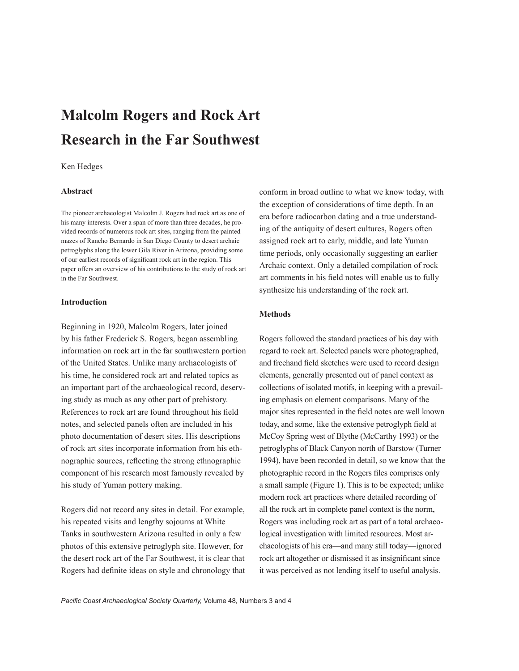# **Malcolm Rogers and Rock Art Research in the Far Southwest**

#### Ken Hedges

## **Abstract**

The pioneer archaeologist Malcolm J. Rogers had rock art as one of his many interests. Over a span of more than three decades, he provided records of numerous rock art sites, ranging from the painted mazes of Rancho Bernardo in San Diego County to desert archaic petroglyphs along the lower Gila River in Arizona, providing some of our earliest records of significant rock art in the region. This paper offers an overview of his contributions to the study of rock art in the Far Southwest.

## **Introduction**

Beginning in 1920, Malcolm Rogers, later joined by his father Frederick S. Rogers, began assembling information on rock art in the far southwestern portion of the United States. Unlike many archaeologists of his time, he considered rock art and related topics as an important part of the archaeological record, deserving study as much as any other part of prehistory. References to rock art are found throughout his field notes, and selected panels often are included in his photo documentation of desert sites. His descriptions of rock art sites incorporate information from his ethnographic sources, reflecting the strong ethnographic component of his research most famously revealed by his study of Yuman pottery making.

Rogers did not record any sites in detail. For example, his repeated visits and lengthy sojourns at White Tanks in southwestern Arizona resulted in only a few photos of this extensive petroglyph site. However, for the desert rock art of the Far Southwest, it is clear that Rogers had definite ideas on style and chronology that conform in broad outline to what we know today, with the exception of considerations of time depth. In an era before radiocarbon dating and a true understanding of the antiquity of desert cultures, Rogers often assigned rock art to early, middle, and late Yuman time periods, only occasionally suggesting an earlier Archaic context. Only a detailed compilation of rock art comments in his field notes will enable us to fully synthesize his understanding of the rock art.

# **Methods**

Rogers followed the standard practices of his day with regard to rock art. Selected panels were photographed, and freehand field sketches were used to record design elements, generally presented out of panel context as collections of isolated motifs, in keeping with a prevailing emphasis on element comparisons. Many of the major sites represented in the field notes are well known today, and some, like the extensive petroglyph field at McCoy Spring west of Blythe (McCarthy 1993) or the petroglyphs of Black Canyon north of Barstow (Turner 1994), have been recorded in detail, so we know that the photographic record in the Rogers files comprises only a small sample (Figure 1). This is to be expected; unlike modern rock art practices where detailed recording of all the rock art in complete panel context is the norm, Rogers was including rock art as part of a total archaeological investigation with limited resources. Most archaeologists of his era—and many still today—ignored rock art altogether or dismissed it as insignificant since it was perceived as not lending itself to useful analysis.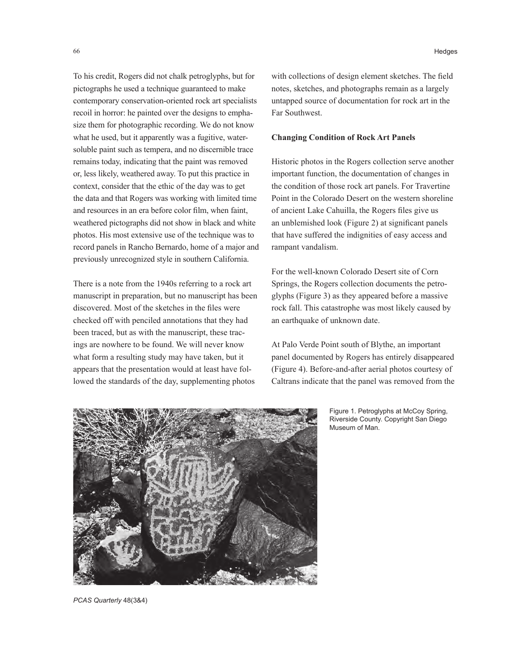To his credit, Rogers did not chalk petroglyphs, but for pictographs he used a technique guaranteed to make contemporary conservation-oriented rock art specialists recoil in horror: he painted over the designs to emphasize them for photographic recording. We do not know what he used, but it apparently was a fugitive, watersoluble paint such as tempera, and no discernible trace remains today, indicating that the paint was removed or, less likely, weathered away. To put this practice in context, consider that the ethic of the day was to get the data and that Rogers was working with limited time and resources in an era before color film, when faint, weathered pictographs did not show in black and white photos. His most extensive use of the technique was to record panels in Rancho Bernardo, home of a major and previously unrecognized style in southern California.

There is a note from the 1940s referring to a rock art manuscript in preparation, but no manuscript has been discovered. Most of the sketches in the files were checked off with penciled annotations that they had been traced, but as with the manuscript, these tracings are nowhere to be found. We will never know what form a resulting study may have taken, but it appears that the presentation would at least have followed the standards of the day, supplementing photos

66 Hedges

with collections of design element sketches. The field notes, sketches, and photographs remain as a largely untapped source of documentation for rock art in the Far Southwest.

#### **Changing Condition of Rock Art Panels**

Historic photos in the Rogers collection serve another important function, the documentation of changes in the condition of those rock art panels. For Travertine Point in the Colorado Desert on the western shoreline of ancient Lake Cahuilla, the Rogers files give us an unblemished look (Figure 2) at significant panels that have suffered the indignities of easy access and rampant vandalism.

For the well-known Colorado Desert site of Corn Springs, the Rogers collection documents the petroglyphs (Figure 3) as they appeared before a massive rock fall. This catastrophe was most likely caused by an earthquake of unknown date.

At Palo Verde Point south of Blythe, an important panel documented by Rogers has entirely disappeared (Figure 4). Before-and-after aerial photos courtesy of Caltrans indicate that the panel was removed from the



Figure 1. Petroglyphs at McCoy Spring, Riverside County. Copyright San Diego Museum of Man.

*PCAS Quarterly* 48(3&4)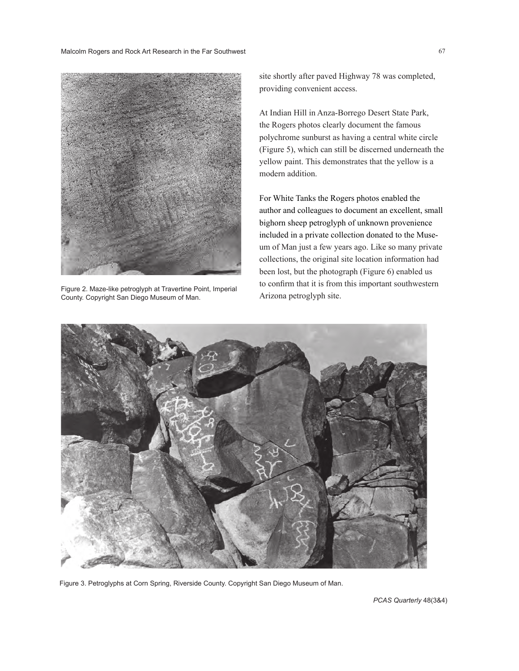Malcolm Rogers and Rock Art Research in the Far Southwest 67 and 1999 and 1999 and 1999 and 1999 and 1999 and 1999 and 1999 and 1999 and 1999 and 1999 and 1999 and 1999 and 1999 and 1999 and 1999 and 1999 and 1999 and 1999



Figure 2. Maze-like petroglyph at Travertine Point, Imperial to Committed at Arizona petroglyph site.<br>County. Copyright San Diego Museum of Man. Arizona petroglyph site. County. Copyright San Diego Museum of Man.

site shortly after paved Highway 78 was completed, providing convenient access.

At Indian Hill in Anza-Borrego Desert State Park, the Rogers photos clearly document the famous polychrome sunburst as having a central white circle (Figure 5), which can still be discerned underneath the yellow paint. This demonstrates that the yellow is a modern addition.

For White Tanks the Rogers photos enabled the author and colleagues to document an excellent, small bighorn sheep petroglyph of unknown provenience included in a private collection donated to the Museum of Man just a few years ago. Like so many private collections, the original site location information had been lost, but the photograph (Figure 6) enabled us to confirm that it is from this important southwestern



Figure 3. Petroglyphs at Corn Spring, Riverside County. Copyright San Diego Museum of Man.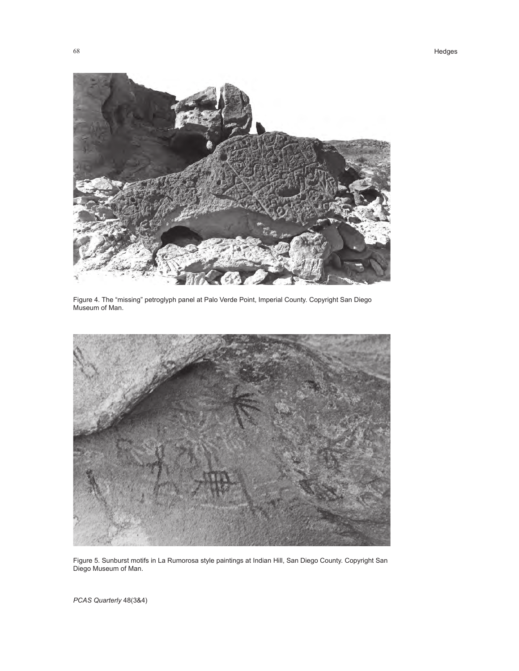

Figure 4. The "missing" petroglyph panel at Palo Verde Point, Imperial County. Copyright San Diego Museum of Man.



Figure 5. Sunburst motifs in La Rumorosa style paintings at Indian Hill, San Diego County. Copyright San Diego Museum of Man.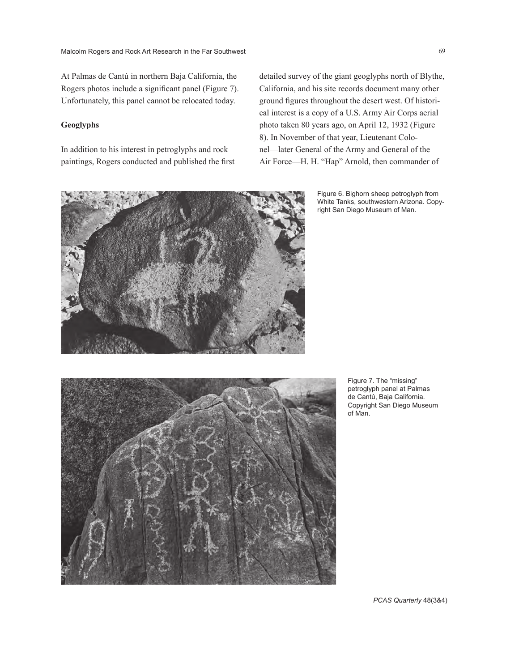At Palmas de Cantú in northern Baja California, the Rogers photos include a significant panel (Figure 7). Unfortunately, this panel cannot be relocated today.

## **Geoglyphs**

In addition to his interest in petroglyphs and rock paintings, Rogers conducted and published the first detailed survey of the giant geoglyphs north of Blythe, California, and his site records document many other ground figures throughout the desert west. Of historical interest is a copy of a U.S. Army Air Corps aerial photo taken 80 years ago, on April 12, 1932 (Figure 8). In November of that year, Lieutenant Colonel—later General of the Army and General of the Air Force—H. H. "Hap" Arnold, then commander of

> Figure 6. Bighorn sheep petroglyph from White Tanks, southwestern Arizona. Copyright San Diego Museum of Man.



Figure 7. The "missing" petroglyph panel at Palmas de Cantú, Baja California. Copyright San Diego Museum of Man.

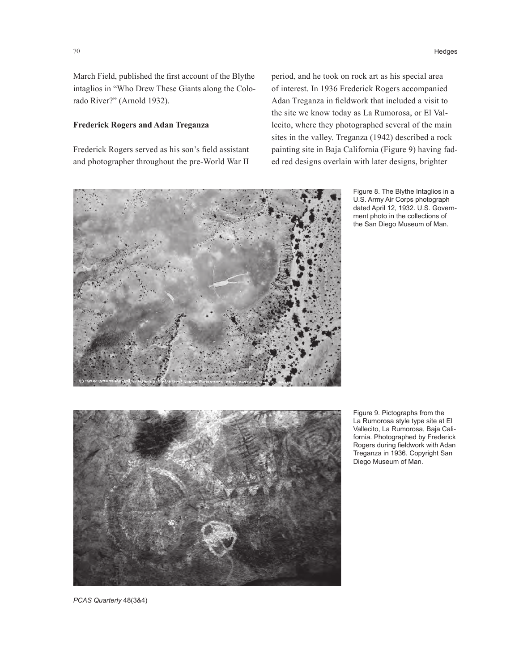70 Hedges

March Field, published the first account of the Blythe intaglios in "Who Drew These Giants along the Colorado River?" (Arnold 1932).

## **Frederick Rogers and Adan Treganza**

Frederick Rogers served as his son's field assistant and photographer throughout the pre-World War II

period, and he took on rock art as his special area of interest. In 1936 Frederick Rogers accompanied Adan Treganza in fieldwork that included a visit to the site we know today as La Rumorosa, or El Vallecito, where they photographed several of the main sites in the valley. Treganza (1942) described a rock painting site in Baja California (Figure 9) having faded red designs overlain with later designs, brighter

![](_page_5_Picture_5.jpeg)

Figure 8. The Blythe Intaglios in a U.S. Army Air Corps photograph dated April 12, 1932. U.S. Government photo in the collections of the San Diego Museum of Man.

![](_page_5_Picture_7.jpeg)

Figure 9. Pictographs from the La Rumorosa style type site at El Vallecito, La Rumorosa, Baja California. Photographed by Frederick Rogers during fieldwork with Adan Treganza in 1936. Copyright San Diego Museum of Man.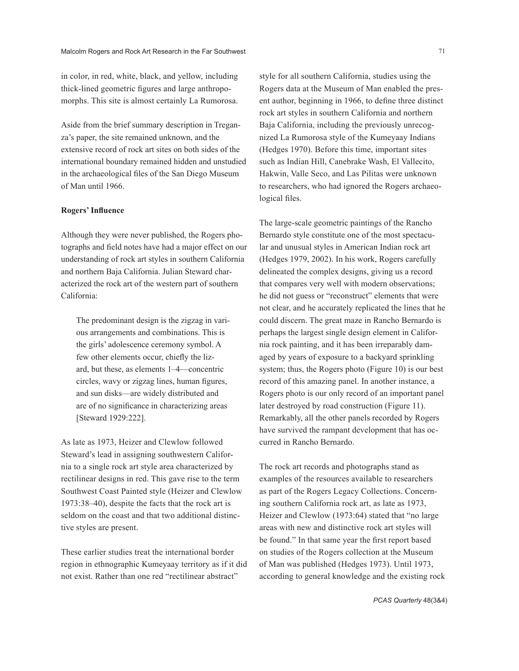in color, in red, white, black, and yellow, including thick-lined geometric figures and large anthropomorphs. This site is almost certainly La Rumorosa.

Aside from the brief summary description in Treganza's paper, the site remained unknown, and the extensive record of rock art sites on both sides of the international boundary remained hidden and unstudied in the archaeological files of the San Diego Museum of Man until 1966.

## **Rogers' Influence**

Although they were never published, the Rogers photographs and field notes have had a major effect on our understanding of rock art styles in southern California and northern Baja California. Julian Steward characterized the rock art of the western part of southern California:

The predominant design is the zigzag in various arrangements and combinations. This is the girls' adolescence ceremony symbol. A few other elements occur, chiefly the lizard, but these, as elements 1–4—concentric circles, wavy or zigzag lines, human figures, and sun disks—are widely distributed and are of no significance in characterizing areas [Steward 1929:222].

As late as 1973, Heizer and Clewlow followed Steward's lead in assigning southwestern California to a single rock art style area characterized by rectilinear designs in red. This gave rise to the term Southwest Coast Painted style (Heizer and Clewlow 1973:38–40), despite the facts that the rock art is seldom on the coast and that two additional distinctive styles are present.

These earlier studies treat the international border region in ethnographic Kumeyaay territory as if it did not exist. Rather than one red "rectilinear abstract"

style for all southern California, studies using the Rogers data at the Museum of Man enabled the present author, beginning in 1966, to define three distinct rock art styles in southern California and northern Baja California, including the previously unrecognized La Rumorosa style of the Kumeyaay Indians (Hedges 1970). Before this time, important sites such as Indian Hill, Canebrake Wash, El Vallecito, Hakwin, Valle Seco, and Las Pilitas were unknown to researchers, who had ignored the Rogers archaeological files.

The large-scale geometric paintings of the Rancho Bernardo style constitute one of the most spectacular and unusual styles in American Indian rock art (Hedges 1979, 2002). In his work, Rogers carefully delineated the complex designs, giving us a record that compares very well with modern observations; he did not guess or "reconstruct" elements that were not clear, and he accurately replicated the lines that he could discern. The great maze in Rancho Bernardo is perhaps the largest single design element in California rock painting, and it has been irreparably damaged by years of exposure to a backyard sprinkling system; thus, the Rogers photo (Figure 10) is our best record of this amazing panel. In another instance, a Rogers photo is our only record of an important panel later destroyed by road construction (Figure 11). Remarkably, all the other panels recorded by Rogers have survived the rampant development that has occurred in Rancho Bernardo.

The rock art records and photographs stand as examples of the resources available to researchers as part of the Rogers Legacy Collections. Concerning southern California rock art, as late as 1973, Heizer and Clewlow (1973:64) stated that "no large areas with new and distinctive rock art styles will be found." In that same year the first report based on studies of the Rogers collection at the Museum of Man was published (Hedges 1973). Until 1973, according to general knowledge and the existing rock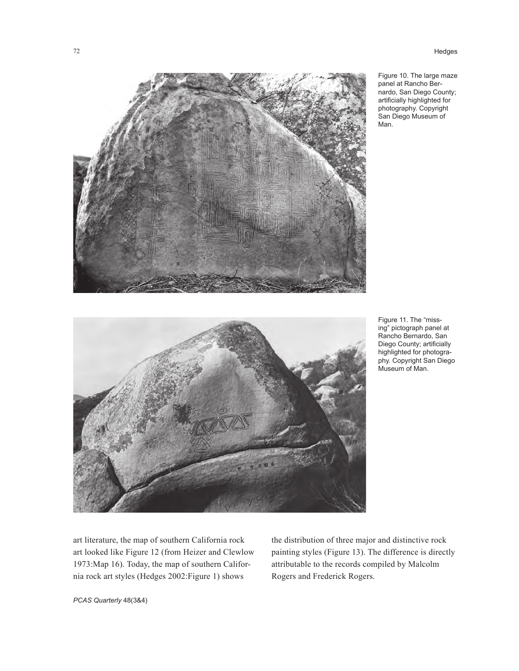72 Hedges

![](_page_7_Picture_1.jpeg)

Figure 10. The large maze panel at Rancho Bernardo, San Diego County; artificially highlighted for photography. Copyright San Diego Museum of Man.

![](_page_7_Picture_3.jpeg)

Figure 11. The "missing" pictograph panel at Rancho Bernardo, San Diego County; artificially highlighted for photography. Copyright San Diego Museum of Man.

art literature, the map of southern California rock art looked like Figure 12 (from Heizer and Clewlow 1973:Map 16). Today, the map of southern California rock art styles (Hedges 2002:Figure 1) shows

the distribution of three major and distinctive rock painting styles (Figure 13). The difference is directly attributable to the records compiled by Malcolm Rogers and Frederick Rogers.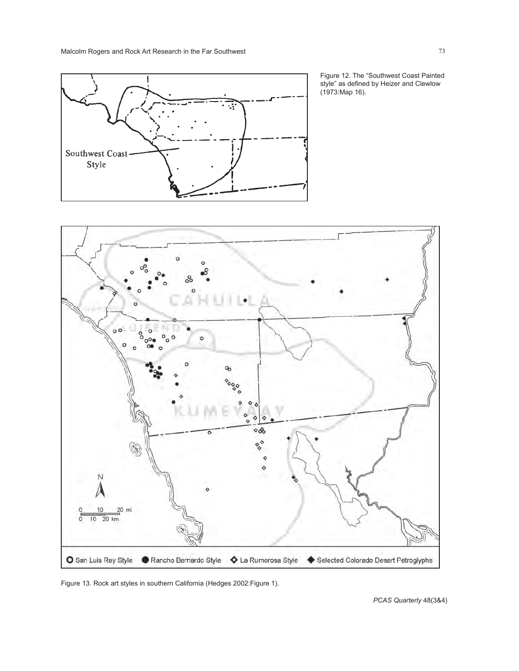![](_page_8_Figure_1.jpeg)

Figure 12. The "Southwest Coast Painted style" as defined by Heizer and Clewlow (1973:Map 16).

![](_page_8_Figure_3.jpeg)

Figure 13. Rock art styles in southern California (Hedges 2002:Figure 1).